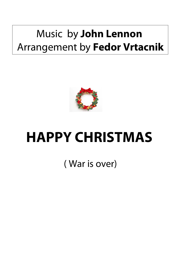## Music by **John Lennon**  Arrangement by **Fedor Vrtacnik**



## **HAPPY CHRISTMAS**

( War is over)